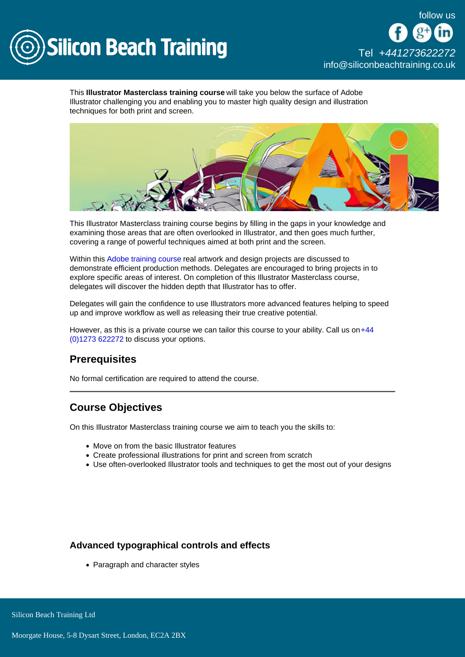

[Tel +44](tel:+441273622272)1273622272 [info@siliconbeachtraining.co.uk](/var/www/html/siliconbeachtraining.co.uk/public/mailTo:info@siliconbeachtraining.co.uk)

This Illustrator Masterclass training course will take you below the surface of Adobe Illustrator challenging you and enabling you to master high quality design and illustration techniques for both print and screen.

This Illustrator Masterclass training course begins by filling in the gaps in your knowledge and examining those areas that are often overlooked in Illustrator, and then goes much further, covering a range of powerful techniques aimed at both print and the screen.

Within this [Adobe training course](/adobe-training) real artwork and design projects are discussed to demonstrate efficient production methods. Delegates are encouraged to bring projects in to explore specific areas of interest. On completion of this Illustrator Masterclass course, delegates will discover the hidden depth that Illustrator has to offer.

Delegates will gain the confidence to use Illustrators more advanced features helping to speed up and improve workflow as well as releasing their true creative potential.

However, as this is a private course we can tailor this course to your ability. Call us on [+44](tel:441273622272)  [\(0\)1273 622272](tel:441273622272) to discuss your options.

# **Prerequisites**

No formal certification are required to attend the course.

# Course Objectives

On this Illustrator Masterclass training course we aim to teach you the skills to:

- Move on from the basic Illustrator features
- Create professional illustrations for print and screen from scratch
- Use often-overlooked Illustrator tools and techniques to get the most out of your designs

### Advanced typographical controls and effects

• Paragraph and character styles

Silicon Beach Training Ltd